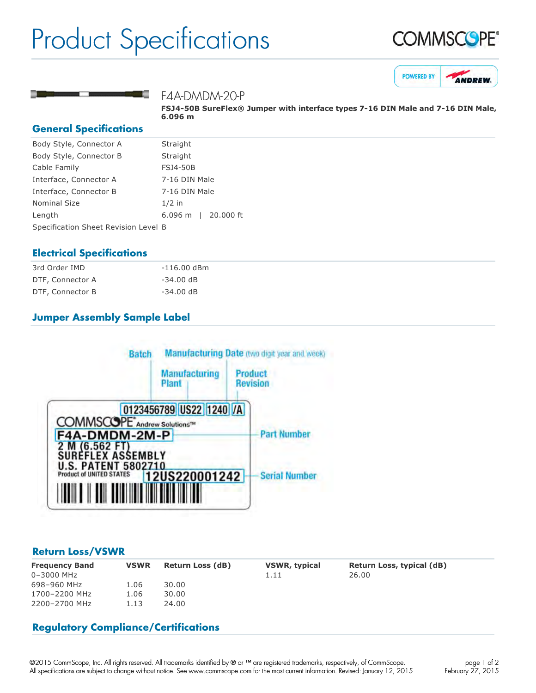# Product Specifications







#### F4A-DMDM-20-P

**FSJ450B SureFlex® Jumper with interface types 716 DIN Male and 716 DIN Male, 6.096 m**

#### **General Specifications**

| Body Style, Connector A              | Straight                  |  |  |
|--------------------------------------|---------------------------|--|--|
| Body Style, Connector B              | Straight                  |  |  |
| Cable Family                         | <b>FSJ4-50B</b>           |  |  |
| Interface, Connector A               | 7-16 DIN Male             |  |  |
| Interface, Connector B               | 7-16 DIN Male             |  |  |
| <b>Nominal Size</b>                  | $1/2$ in                  |  |  |
| Length                               | 20,000 ft<br>$6.096 \; m$ |  |  |
| Specification Sheet Revision Level B |                           |  |  |

#### **Electrical Specifications**

| 3rd Order IMD    | $-116.00$ dBm |
|------------------|---------------|
| DTF, Connector A | $-34.00$ dB   |
| DTF, Connector B | $-34.00$ dB   |

### **Jumper Assembly Sample Label**



#### **Return Loss/VSWR**

| <b>Frequency Band</b><br>$0 - 3000$ MHz | <b>VSWR</b> | <b>Return Loss (dB)</b> | <b>VSWR, typical</b><br>1.11 | Return Loss, typical (dB)<br>26.00 |
|-----------------------------------------|-------------|-------------------------|------------------------------|------------------------------------|
| 698-960 MHz                             | 1.06        | 30.00                   |                              |                                    |
| 1700-2200 MHz                           | 1.06        | 30.00                   |                              |                                    |
| 2200-2700 MHz                           | 1.13        | 24.00                   |                              |                                    |

#### **Regulatory Compliance/Certifications**

©2015 CommScope, Inc. All rights reserved. All trademarks identified by ® or ™ are registered trademarks, respectively, of CommScope. All specifications are subject to change without notice. See www.commscope.com for the most current information. Revised: January 12, 2015